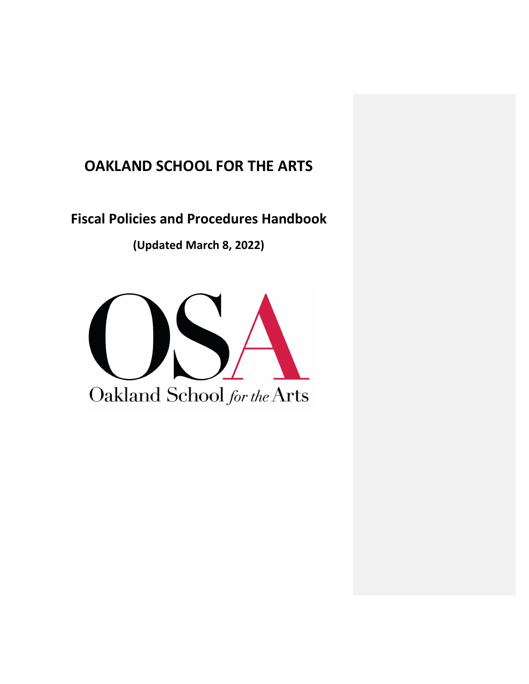# **OAKLAND SCHOOL FOR THE ARTS**

**Fiscal Policies and Procedures Handbook**

**(Updated March 8, 2022)**

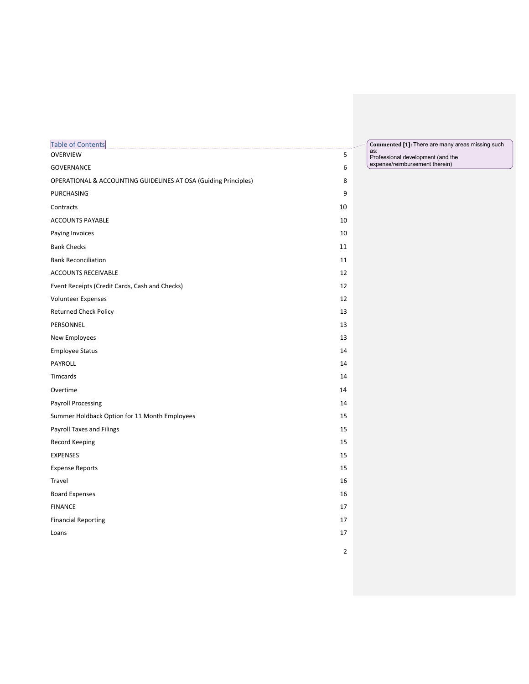| Table of Contents                                               |                | Commented [1]: There are many areas missing such |
|-----------------------------------------------------------------|----------------|--------------------------------------------------|
| <b>OVERVIEW</b>                                                 | $\sf 5$        | as:<br>Professional development (and the         |
| GOVERNANCE                                                      | 6              | expense/reimbursement therein)                   |
| OPERATIONAL & ACCOUNTING GUIDELINES AT OSA (Guiding Principles) | 8              |                                                  |
| PURCHASING                                                      | 9              |                                                  |
| Contracts                                                       | 10             |                                                  |
| <b>ACCOUNTS PAYABLE</b>                                         | 10             |                                                  |
| Paying Invoices                                                 | 10             |                                                  |
| <b>Bank Checks</b>                                              | 11             |                                                  |
| <b>Bank Reconciliation</b>                                      | 11             |                                                  |
| ACCOUNTS RECEIVABLE                                             | 12             |                                                  |
| Event Receipts (Credit Cards, Cash and Checks)                  | 12             |                                                  |
| <b>Volunteer Expenses</b>                                       | 12             |                                                  |
| <b>Returned Check Policy</b>                                    | 13             |                                                  |
| PERSONNEL                                                       | 13             |                                                  |
| New Employees                                                   | 13             |                                                  |
| <b>Employee Status</b>                                          | 14             |                                                  |
| PAYROLL                                                         | 14             |                                                  |
| Timcards                                                        | 14             |                                                  |
| Overtime                                                        | 14             |                                                  |
| <b>Payroll Processing</b>                                       | 14             |                                                  |
| Summer Holdback Option for 11 Month Employees                   | 15             |                                                  |
| Payroll Taxes and Filings                                       | 15             |                                                  |
| Record Keeping                                                  | 15             |                                                  |
| <b>EXPENSES</b>                                                 | 15             |                                                  |
| <b>Expense Reports</b>                                          | 15             |                                                  |
| Travel                                                          | 16             |                                                  |
| <b>Board Expenses</b>                                           | 16             |                                                  |
| <b>FINANCE</b>                                                  | 17             |                                                  |
| <b>Financial Reporting</b>                                      | 17             |                                                  |
| Loans                                                           | 17             |                                                  |
|                                                                 | $\overline{2}$ |                                                  |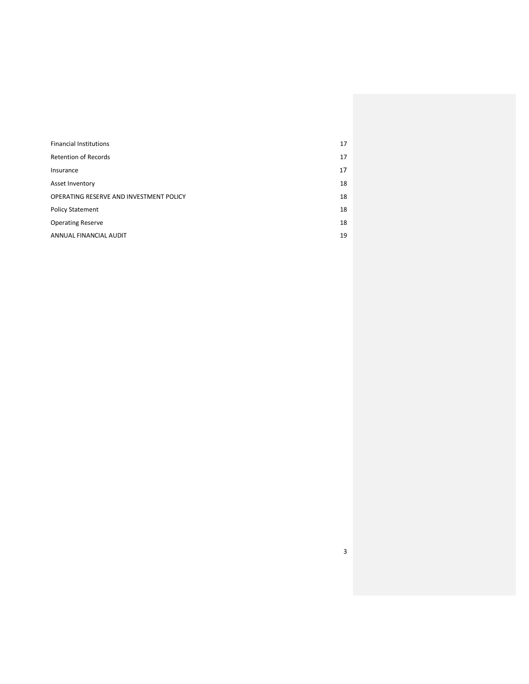| <b>Financial Institutions</b>           | 17 |
|-----------------------------------------|----|
| <b>Retention of Records</b>             | 17 |
| Insurance                               | 17 |
| Asset Inventory                         | 18 |
| OPERATING RESERVE AND INVESTMENT POLICY | 18 |
| <b>Policy Statement</b>                 | 18 |
| <b>Operating Reserve</b>                | 18 |
| ANNUAL FINANCIAL AUDIT                  | 19 |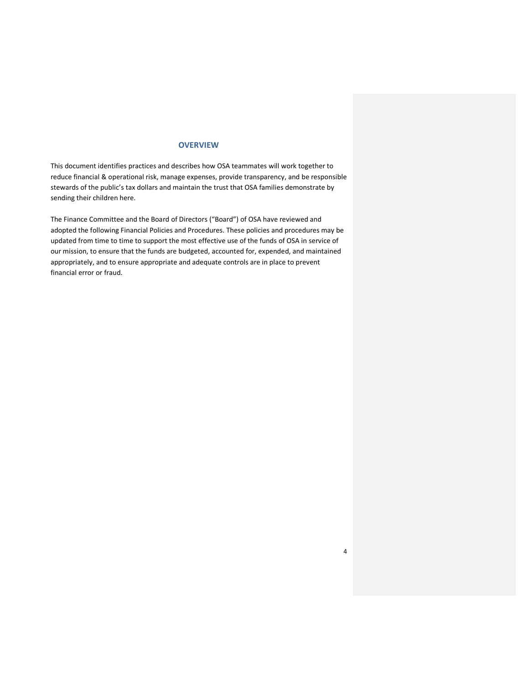## **OVERVIEW**

This document identifies practices and describes how OSA teammates will work together to reduce financial & operational risk, manage expenses, provide transparency, and be responsible stewards of the public's tax dollars and maintain the trust that OSA families demonstrate by sending their children here.

The Finance Committee and the Board of Directors ("Board") of OSA have reviewed and adopted the following Financial Policies and Procedures. These policies and procedures may be updated from time to time to support the most effective use of the funds of OSA in service of our mission, to ensure that the funds are budgeted, accounted for, expended, and maintained appropriately, and to ensure appropriate and adequate controls are in place to prevent financial error or fraud.

4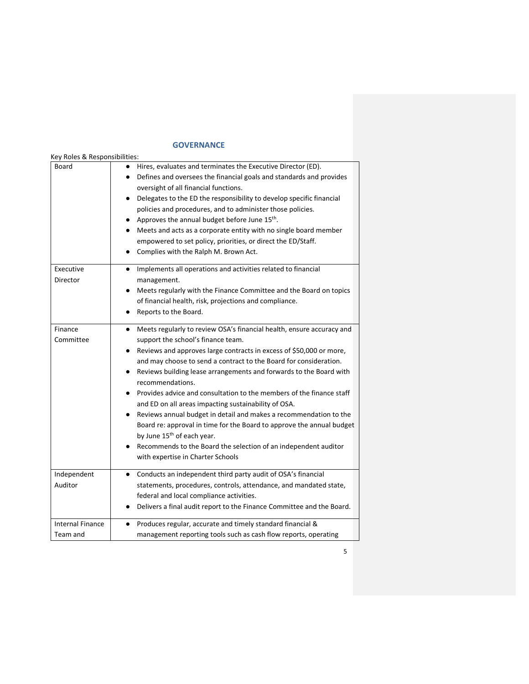# **GOVERNANCE**

| Key Roles & Responsibilities:       |                                                                                                                                                                                                                                                                                                                                                                                                                                                                                                                                                                                                                                                                                                                                                                                                |
|-------------------------------------|------------------------------------------------------------------------------------------------------------------------------------------------------------------------------------------------------------------------------------------------------------------------------------------------------------------------------------------------------------------------------------------------------------------------------------------------------------------------------------------------------------------------------------------------------------------------------------------------------------------------------------------------------------------------------------------------------------------------------------------------------------------------------------------------|
| Board                               | Hires, evaluates and terminates the Executive Director (ED).<br>Defines and oversees the financial goals and standards and provides<br>oversight of all financial functions.<br>Delegates to the ED the responsibility to develop specific financial<br>٠<br>policies and procedures, and to administer those policies.<br>Approves the annual budget before June 15 <sup>th</sup> .<br>Meets and acts as a corporate entity with no single board member<br>empowered to set policy, priorities, or direct the ED/Staff.<br>Complies with the Ralph M. Brown Act.                                                                                                                                                                                                                              |
| Executive<br>Director               | Implements all operations and activities related to financial<br>٠<br>management.<br>Meets regularly with the Finance Committee and the Board on topics<br>of financial health, risk, projections and compliance.<br>Reports to the Board.                                                                                                                                                                                                                                                                                                                                                                                                                                                                                                                                                     |
| Finance<br>Committee                | Meets regularly to review OSA's financial health, ensure accuracy and<br>support the school's finance team.<br>Reviews and approves large contracts in excess of \$50,000 or more,<br>$\bullet$<br>and may choose to send a contract to the Board for consideration.<br>Reviews building lease arrangements and forwards to the Board with<br>recommendations.<br>Provides advice and consultation to the members of the finance staff<br>and ED on all areas impacting sustainability of OSA.<br>Reviews annual budget in detail and makes a recommendation to the<br>Board re: approval in time for the Board to approve the annual budget<br>by June 15 <sup>th</sup> of each year.<br>Recommends to the Board the selection of an independent auditor<br>with expertise in Charter Schools |
| Independent<br>Auditor              | Conducts an independent third party audit of OSA's financial<br>٠<br>statements, procedures, controls, attendance, and mandated state,<br>federal and local compliance activities.<br>Delivers a final audit report to the Finance Committee and the Board.                                                                                                                                                                                                                                                                                                                                                                                                                                                                                                                                    |
| <b>Internal Finance</b><br>Team and | Produces regular, accurate and timely standard financial &<br>$\bullet$<br>management reporting tools such as cash flow reports, operating                                                                                                                                                                                                                                                                                                                                                                                                                                                                                                                                                                                                                                                     |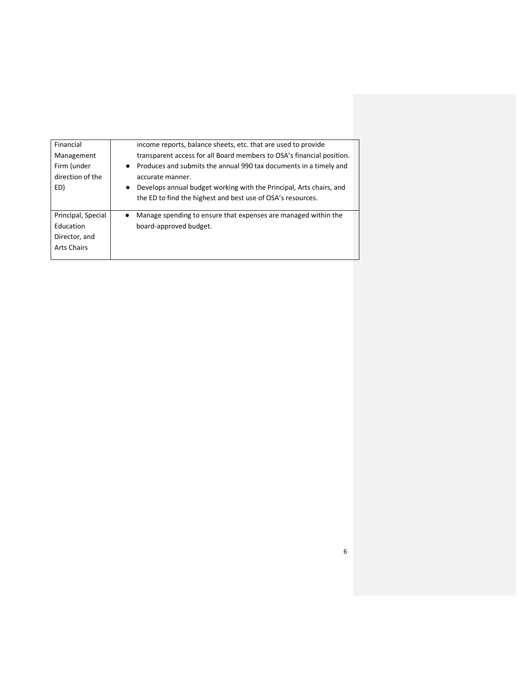| Financial<br>Management<br>Firm (under<br>direction of the<br>ED)      | income reports, balance sheets, etc. that are used to provide<br>transparent access for all Board members to OSA's financial position.<br>Produces and submits the annual 990 tax documents in a timely and<br>accurate manner.<br>Develops annual budget working with the Principal, Arts chairs, and<br>the ED to find the highest and best use of OSA's resources. |
|------------------------------------------------------------------------|-----------------------------------------------------------------------------------------------------------------------------------------------------------------------------------------------------------------------------------------------------------------------------------------------------------------------------------------------------------------------|
| Principal, Special<br>Education<br>Director, and<br><b>Arts Chairs</b> | Manage spending to ensure that expenses are managed within the<br>$\bullet$<br>board-approved budget.                                                                                                                                                                                                                                                                 |

6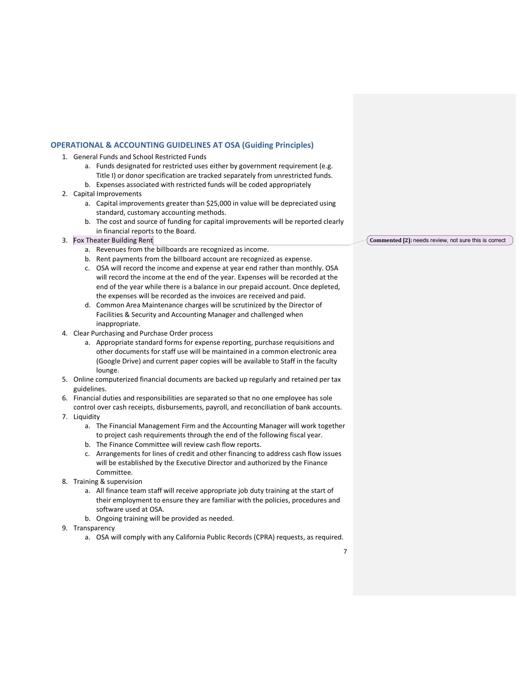## **OPERATIONAL & ACCOUNTING GUIDELINES AT OSA (Guiding Principles)**

- 1. General Funds and School Restricted Funds
	- a. Funds designated for restricted uses either by government requirement (e.g.
	- Title I) or donor specification are tracked separately from unrestricted funds.
	- b. Expenses associated with restricted funds will be coded appropriately
- 2. Capital Improvements
	- a. Capital improvements greater than \$25,000 in value will be depreciated using standard, customary accounting methods.
	- b. The cost and source of funding for capital improvements will be reported clearly in financial reports to the Board.
- 3. Fox Theater Building Rent
	- a. Revenues from the billboards are recognized as income.
	- b. Rent payments from the billboard account are recognized as expense.
	- c. OSA will record the income and expense at year end rather than monthly. OSA will record the income at the end of the year. Expenses will be recorded at the end of the year while there is a balance in our prepaid account. Once depleted, the expenses will be recorded as the invoices are received and paid.
	- d. Common Area Maintenance charges will be scrutinized by the Director of Facilities & Security and Accounting Manager and challenged when inappropriate.
- 4. Clear Purchasing and Purchase Order process
	- a. Appropriate standard forms for expense reporting, purchase requisitions and other documents for staff use will be maintained in a common electronic area (Google Drive) and current paper copies will be available to Staff in the faculty lounge.
- 5. Online computerized financial documents are backed up regularly and retained per tax guidelines.
- 6. Financial duties and responsibilities are separated so that no one employee has sole control over cash receipts, disbursements, payroll, and reconciliation of bank accounts.
- 7. Liquidity
	- a. The Financial Management Firm and the Accounting Manager will work together to project cash requirements through the end of the following fiscal year.
	- b. The Finance Committee will review cash flow reports.
	- c. Arrangements for lines of credit and other financing to address cash flow issues will be established by the Executive Director and authorized by the Finance Committee.
- 8. Training & supervision
	- a. All finance team staff will receive appropriate job duty training at the start of their employment to ensure they are familiar with the policies, procedures and software used at OSA.
	- b. Ongoing training will be provided as needed.
- 9. Transparency
	- a. OSA will comply with any California Public Records (CPRA) requests, as required.

Commented [2]: needs review, not sure this is correct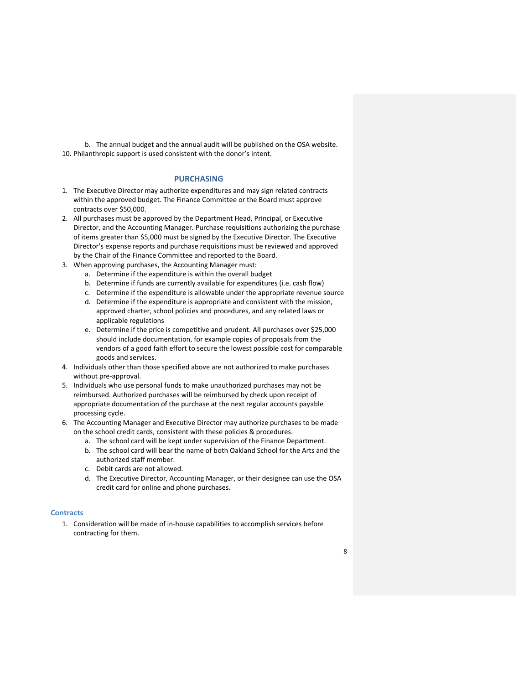b. The annual budget and the annual audit will be published on the OSA website. 10. Philanthropic support is used consistent with the donor's intent.

## **PURCHASING**

- 1. The Executive Director may authorize expenditures and may sign related contracts within the approved budget. The Finance Committee or the Board must approve contracts over \$50,000.
- 2. All purchases must be approved by the Department Head, Principal, or Executive Director, and the Accounting Manager. Purchase requisitions authorizing the purchase of items greater than \$5,000 must be signed by the Executive Director. The Executive Director's expense reports and purchase requisitions must be reviewed and approved by the Chair of the Finance Committee and reported to the Board.
- 3. When approving purchases, the Accounting Manager must:
	- a. Determine if the expenditure is within the overall budget
	- b. Determine if funds are currently available for expenditures (i.e. cash flow)
	- c. Determine if the expenditure is allowable under the appropriate revenue source
	- d. Determine if the expenditure is appropriate and consistent with the mission, approved charter, school policies and procedures, and any related laws or applicable regulations
	- e. Determine if the price is competitive and prudent. All purchases over \$25,000 should include documentation, for example copies of proposals from the vendors of a good faith effort to secure the lowest possible cost for comparable goods and services.
- 4. Individuals other than those specified above are not authorized to make purchases without pre-approval.
- 5. Individuals who use personal funds to make unauthorized purchases may not be reimbursed. Authorized purchases will be reimbursed by check upon receipt of appropriate documentation of the purchase at the next regular accounts payable processing cycle.
- 6. The Accounting Manager and Executive Director may authorize purchases to be made on the school credit cards, consistent with these policies & procedures.
	- a. The school card will be kept under supervision of the Finance Department.
	- b. The school card will bear the name of both Oakland School for the Arts and the authorized staff member.
	- c. Debit cards are not allowed.
	- d. The Executive Director, Accounting Manager, or their designee can use the OSA credit card for online and phone purchases.

## **Contracts**

1. Consideration will be made of in-house capabilities to accomplish services before contracting for them.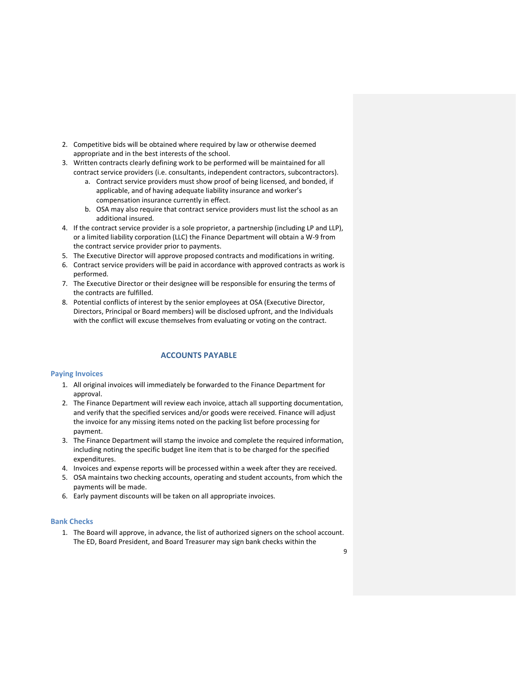- 2. Competitive bids will be obtained where required by law or otherwise deemed appropriate and in the best interests of the school.
- 3. Written contracts clearly defining work to be performed will be maintained for all contract service providers (i.e. consultants, independent contractors, subcontractors).
	- a. Contract service providers must show proof of being licensed, and bonded, if applicable, and of having adequate liability insurance and worker's
		- compensation insurance currently in effect.
	- b. OSA may also require that contract service providers must list the school as an additional insured.
- 4. If the contract service provider is a sole proprietor, a partnership (including LP and LLP), or a limited liability corporation (LLC) the Finance Department will obtain a W-9 from the contract service provider prior to payments.
- 5. The Executive Director will approve proposed contracts and modifications in writing.
- 6. Contract service providers will be paid in accordance with approved contracts as work is performed.
- 7. The Executive Director or their designee will be responsible for ensuring the terms of the contracts are fulfilled.
- 8. Potential conflicts of interest by the senior employees at OSA (Executive Director, Directors, Principal or Board members) will be disclosed upfront, and the Individuals with the conflict will excuse themselves from evaluating or voting on the contract.

## **ACCOUNTS PAYABLE**

#### **Paying Invoices**

- 1. All original invoices will immediately be forwarded to the Finance Department for approval.
- 2. The Finance Department will review each invoice, attach all supporting documentation, and verify that the specified services and/or goods were received. Finance will adjust the invoice for any missing items noted on the packing list before processing for payment.
- 3. The Finance Department will stamp the invoice and complete the required information, including noting the specific budget line item that is to be charged for the specified expenditures.
- 4. Invoices and expense reports will be processed within a week after they are received.
- 5. OSA maintains two checking accounts, operating and student accounts, from which the payments will be made.
- 6. Early payment discounts will be taken on all appropriate invoices.

#### **Bank Checks**

1. The Board will approve, in advance, the list of authorized signers on the school account. The ED, Board President, and Board Treasurer may sign bank checks within the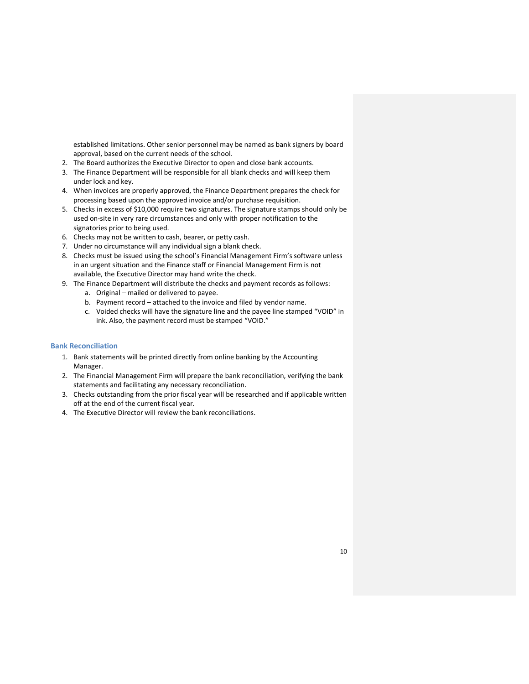established limitations. Other senior personnel may be named as bank signers by board approval, based on the current needs of the school.

- 2. The Board authorizes the Executive Director to open and close bank accounts.
- 3. The Finance Department will be responsible for all blank checks and will keep them under lock and key.
- 4. When invoices are properly approved, the Finance Department prepares the check for processing based upon the approved invoice and/or purchase requisition.
- 5. Checks in excess of \$10,000 require two signatures. The signature stamps should only be used on-site in very rare circumstances and only with proper notification to the signatories prior to being used.
- 6. Checks may not be written to cash, bearer, or petty cash.
- 7. Under no circumstance will any individual sign a blank check.
- 8. Checks must be issued using the school's Financial Management Firm's software unless in an urgent situation and the Finance staff or Financial Management Firm is not available, the Executive Director may hand write the check.
- 9. The Finance Department will distribute the checks and payment records as follows:
	- a. Original mailed or delivered to payee.
		- b. Payment record attached to the invoice and filed by vendor name.
		- c. Voided checks will have the signature line and the payee line stamped "VOID" in ink. Also, the payment record must be stamped "VOID."

## **Bank Reconciliation**

- 1. Bank statements will be printed directly from online banking by the Accounting Manager.
- 2. The Financial Management Firm will prepare the bank reconciliation, verifying the bank statements and facilitating any necessary reconciliation.
- 3. Checks outstanding from the prior fiscal year will be researched and if applicable written off at the end of the current fiscal year.
- 4. The Executive Director will review the bank reconciliations.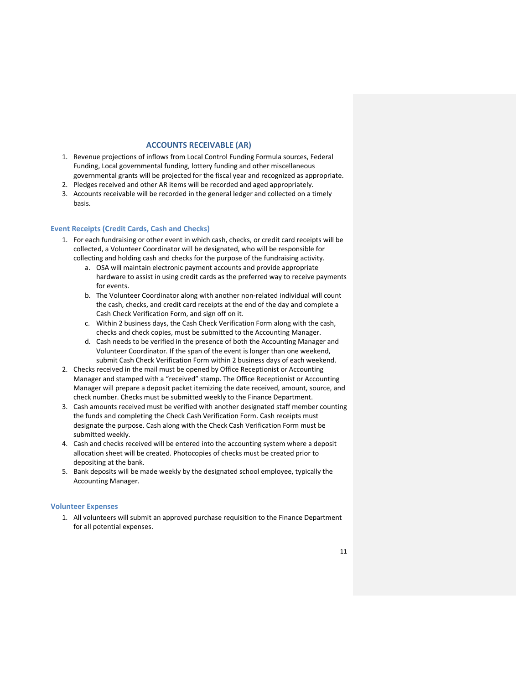# **ACCOUNTS RECEIVABLE (AR)**

- 1. Revenue projections of inflows from Local Control Funding Formula sources, Federal Funding, Local governmental funding, lottery funding and other miscellaneous governmental grants will be projected for the fiscal year and recognized as appropriate.
- 2. Pledges received and other AR items will be recorded and aged appropriately.
- 3. Accounts receivable will be recorded in the general ledger and collected on a timely basis.

#### **Event Receipts (Credit Cards, Cash and Checks)**

- 1. For each fundraising or other event in which cash, checks, or credit card receipts will be collected, a Volunteer Coordinator will be designated, who will be responsible for collecting and holding cash and checks for the purpose of the fundraising activity.
	- a. OSA will maintain electronic payment accounts and provide appropriate hardware to assist in using credit cards as the preferred way to receive payments for events.
	- b. The Volunteer Coordinator along with another non-related individual will count the cash, checks, and credit card receipts at the end of the day and complete a Cash Check Verification Form, and sign off on it.
	- c. Within 2 business days, the Cash Check Verification Form along with the cash, checks and check copies, must be submitted to the Accounting Manager.
	- d. Cash needs to be verified in the presence of both the Accounting Manager and Volunteer Coordinator. If the span of the event is longer than one weekend, submit Cash Check Verification Form within 2 business days of each weekend.
- 2. Checks received in the mail must be opened by Office Receptionist or Accounting Manager and stamped with a "received" stamp. The Office Receptionist or Accounting Manager will prepare a deposit packet itemizing the date received, amount, source, and check number. Checks must be submitted weekly to the Finance Department.
- 3. Cash amounts received must be verified with another designated staff member counting the funds and completing the Check Cash Verification Form. Cash receipts must designate the purpose. Cash along with the Check Cash Verification Form must be submitted weekly.
- 4. Cash and checks received will be entered into the accounting system where a deposit allocation sheet will be created. Photocopies of checks must be created prior to depositing at the bank.
- 5. Bank deposits will be made weekly by the designated school employee, typically the Accounting Manager.

#### **Volunteer Expenses**

1. All volunteers will submit an approved purchase requisition to the Finance Department for all potential expenses.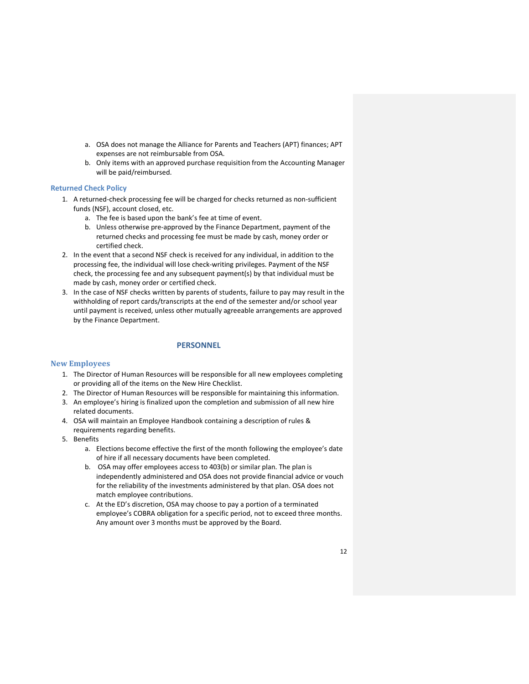- a. OSA does not manage the Alliance for Parents and Teachers (APT) finances; APT expenses are not reimbursable from OSA.
- b. Only items with an approved purchase requisition from the Accounting Manager will be paid/reimbursed.

#### **Returned Check Policy**

- 1. A returned-check processing fee will be charged for checks returned as non-sufficient funds (NSF), account closed, etc.
	- a. The fee is based upon the bank's fee at time of event.
	- b. Unless otherwise pre-approved by the Finance Department, payment of the returned checks and processing fee must be made by cash, money order or certified check.
- 2. In the event that a second NSF check is received for any individual, in addition to the processing fee, the individual will lose check-writing privileges. Payment of the NSF check, the processing fee and any subsequent payment(s) by that individual must be made by cash, money order or certified check.
- 3. In the case of NSF checks written by parents of students, failure to pay may result in the withholding of report cards/transcripts at the end of the semester and/or school year until payment is received, unless other mutually agreeable arrangements are approved by the Finance Department.

## **PERSONNEL**

#### **New Employees**

- 1. The Director of Human Resources will be responsible for all new employees completing or providing all of the items on the New Hire Checklist.
- 2. The Director of Human Resources will be responsible for maintaining this information.
- 3. An employee's hiring is finalized upon the completion and submission of all new hire related documents.
- 4. OSA will maintain an Employee Handbook containing a description of rules & requirements regarding benefits.
- 5. Benefits
	- a. Elections become effective the first of the month following the employee's date of hire if all necessary documents have been completed.
	- b. OSA may offer employees access to 403(b) or similar plan. The plan is independently administered and OSA does not provide financial advice or vouch for the reliability of the investments administered by that plan. OSA does not match employee contributions.
	- c. At the ED's discretion, OSA may choose to pay a portion of a terminated employee's COBRA obligation for a specific period, not to exceed three months. Any amount over 3 months must be approved by the Board.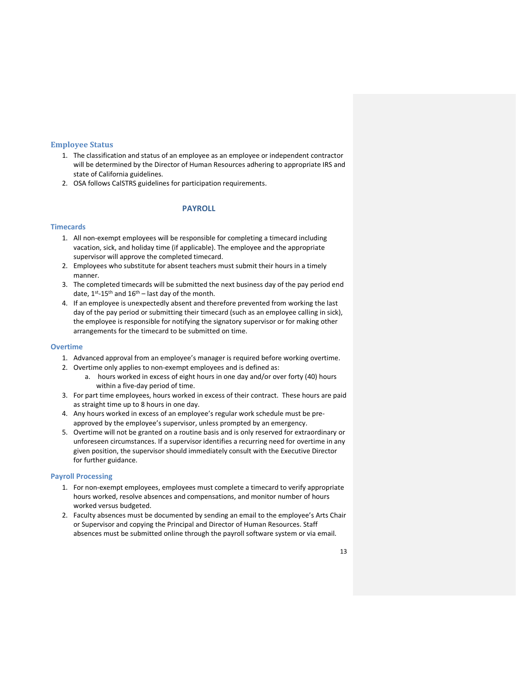## **Employee Status**

- 1. The classification and status of an employee as an employee or independent contractor will be determined by the Director of Human Resources adhering to appropriate IRS and state of California guidelines.
- 2. OSA follows CalSTRS guidelines for participation requirements.

# **PAYROLL**

## **Timecards**

- 1. All non-exempt employees will be responsible for completing a timecard including vacation, sick, and holiday time (if applicable). The employee and the appropriate supervisor will approve the completed timecard.
- 2. Employees who substitute for absent teachers must submit their hours in a timely manner.
- 3. The completed timecards will be submitted the next business day of the pay period end date,  $1^{st}$ -15<sup>th</sup> and  $16^{th}$  – last day of the month.
- 4. If an employee is unexpectedly absent and therefore prevented from working the last day of the pay period or submitting their timecard (such as an employee calling in sick), the employee is responsible for notifying the signatory supervisor or for making other arrangements for the timecard to be submitted on time.

## **Overtime**

- 1. Advanced approval from an employee's manager is required before working overtime.
- 2. Overtime only applies to non-exempt employees and is defined as:
	- a. hours worked in excess of eight hours in one day and/or over forty (40) hours within a five-day period of time.
- 3. For part time employees, hours worked in excess of their contract. These hours are paid as straight time up to 8 hours in one day.
- 4. Any hours worked in excess of an employee's regular work schedule must be preapproved by the employee's supervisor, unless prompted by an emergency.
- 5. Overtime will not be granted on a routine basis and is only reserved for extraordinary or unforeseen circumstances. If a supervisor identifies a recurring need for overtime in any given position, the supervisor should immediately consult with the Executive Director for further guidance.

#### **Payroll Processing**

- 1. For non-exempt employees, employees must complete a timecard to verify appropriate hours worked, resolve absences and compensations, and monitor number of hours worked versus budgeted.
- 2. Faculty absences must be documented by sending an email to the employee's Arts Chair or Supervisor and copying the Principal and Director of Human Resources. Staff absences must be submitted online through the payroll software system or via email.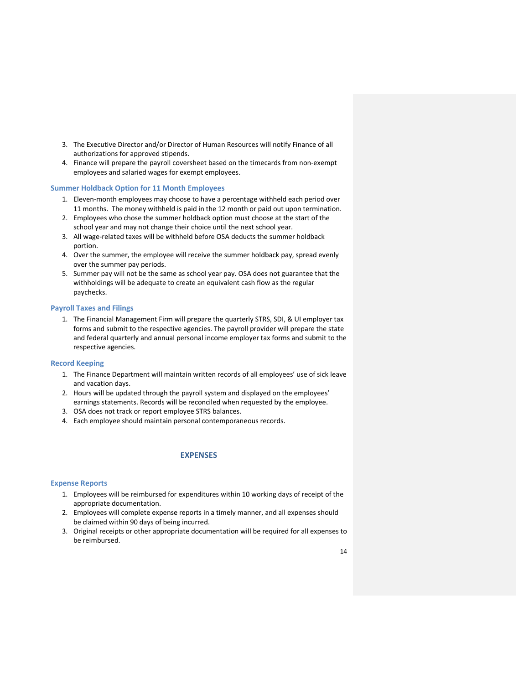- 3. The Executive Director and/or Director of Human Resources will notify Finance of all authorizations for approved stipends.
- 4. Finance will prepare the payroll coversheet based on the timecards from non-exempt employees and salaried wages for exempt employees.

## **Summer Holdback Option for 11 Month Employees**

- 1. Eleven-month employees may choose to have a percentage withheld each period over 11 months. The money withheld is paid in the 12 month or paid out upon termination.
- 2. Employees who chose the summer holdback option must choose at the start of the school year and may not change their choice until the next school year.
- 3. All wage-related taxes will be withheld before OSA deducts the summer holdback portion.
- 4. Over the summer, the employee will receive the summer holdback pay, spread evenly over the summer pay periods.
- 5. Summer pay will not be the same as school year pay. OSA does not guarantee that the withholdings will be adequate to create an equivalent cash flow as the regular paychecks.

#### **Payroll Taxes and Filings**

1. The Financial Management Firm will prepare the quarterly STRS, SDI, & UI employer tax forms and submit to the respective agencies. The payroll provider will prepare the state and federal quarterly and annual personal income employer tax forms and submit to the respective agencies.

#### **Record Keeping**

- 1. The Finance Department will maintain written records of all employees' use of sick leave and vacation days.
- 2. Hours will be updated through the payroll system and displayed on the employees' earnings statements. Records will be reconciled when requested by the employee.
- 3. OSA does not track or report employee STRS balances.
- 4. Each employee should maintain personal contemporaneous records.

# **EXPENSES**

#### **Expense Reports**

- 1. Employees will be reimbursed for expenditures within 10 working days of receipt of the appropriate documentation.
- 2. Employees will complete expense reports in a timely manner, and all expenses should be claimed within 90 days of being incurred.
- 3. Original receipts or other appropriate documentation will be required for all expenses to be reimbursed.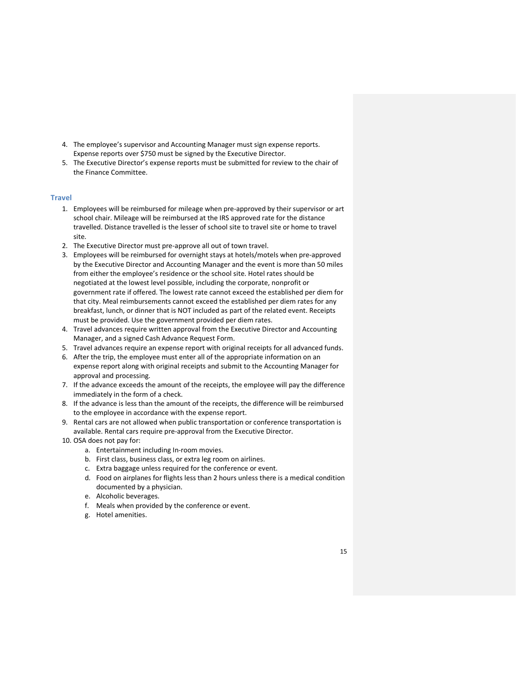- 4. The employee's supervisor and Accounting Manager must sign expense reports. Expense reports over \$750 must be signed by the Executive Director.
- 5. The Executive Director's expense reports must be submitted for review to the chair of the Finance Committee.

## **Travel**

- 1. Employees will be reimbursed for mileage when pre-approved by their supervisor or art school chair. Mileage will be reimbursed at the IRS approved rate for the distance travelled. Distance travelled is the lesser of school site to travel site or home to travel site.
- 2. The Executive Director must pre-approve all out of town travel.
- 3. Employees will be reimbursed for overnight stays at hotels/motels when pre-approved by the Executive Director and Accounting Manager and the event is more than 50 miles from either the employee's residence or the school site. Hotel rates should be negotiated at the lowest level possible, including the corporate, nonprofit or government rate if offered. The lowest rate cannot exceed the established per diem for that city. Meal reimbursements cannot exceed the established per diem rates for any breakfast, lunch, or dinner that is NOT included as part of the related event. Receipts must be provided. Use the government provided per diem rates.
- 4. Travel advances require written approval from the Executive Director and Accounting Manager, and a signed Cash Advance Request Form.
- 5. Travel advances require an expense report with original receipts for all advanced funds.
- 6. After the trip, the employee must enter all of the appropriate information on an expense report along with original receipts and submit to the Accounting Manager for approval and processing.
- 7. If the advance exceeds the amount of the receipts, the employee will pay the difference immediately in the form of a check.
- 8. If the advance is less than the amount of the receipts, the difference will be reimbursed to the employee in accordance with the expense report.
- 9. Rental cars are not allowed when public transportation or conference transportation is available. Rental cars require pre-approval from the Executive Director.
- 10. OSA does not pay for:
	- a. Entertainment including In-room movies.
	- b. First class, business class, or extra leg room on airlines.
	- c. Extra baggage unless required for the conference or event.
	- d. Food on airplanes for flights less than 2 hours unless there is a medical condition documented by a physician.
	- e. Alcoholic beverages.
	- f. Meals when provided by the conference or event.
	- g. Hotel amenities.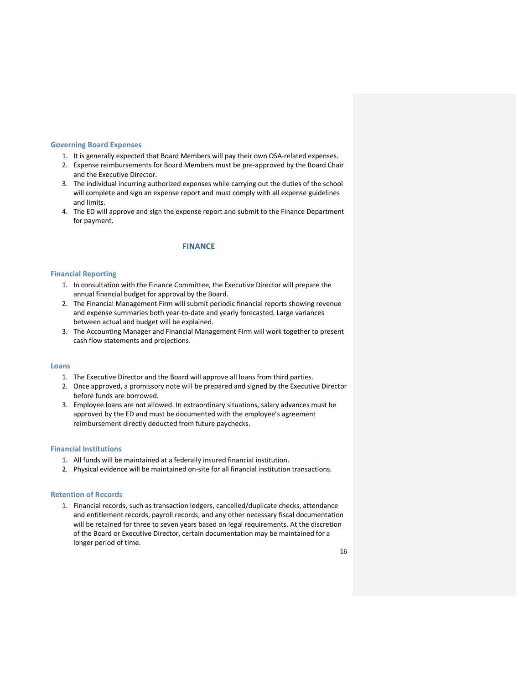#### **Governing Board Expenses**

- 1. It is generally expected that Board Members will pay their own OSA-related expenses.
- 2. Expense reimbursements for Board Members must be pre-approved by the Board Chair and the Executive Director.
- 3. The individual incurring authorized expenses while carrying out the duties of the school will complete and sign an expense report and must comply with all expense guidelines and limits.
- 4. The ED will approve and sign the expense report and submit to the Finance Department for payment.

#### **FINANCE**

#### **Financial Reporting**

- 1. In consultation with the Finance Committee, the Executive Director will prepare the annual financial budget for approval by the Board.
- 2. The Financial Management Firm will submit periodic financial reports showing revenue and expense summaries both year-to-date and yearly forecasted. Large variances between actual and budget will be explained.
- 3. The Accounting Manager and Financial Management Firm will work together to present cash flow statements and projections.

## **Loans**

- 1. The Executive Director and the Board will approve all loans from third parties.
- 2. Once approved, a promissory note will be prepared and signed by the Executive Director before funds are borrowed.
- 3. Employee loans are not allowed. In extraordinary situations, salary advances must be approved by the ED and must be documented with the employee's agreement reimbursement directly deducted from future paychecks.

#### **Financial Institutions**

- 1. All funds will be maintained at a federally insured financial institution.
- 2. Physical evidence will be maintained on-site for all financial institution transactions.

#### **Retention of Records**

1. Financial records, such as transaction ledgers, cancelled/duplicate checks, attendance and entitlement records, payroll records, and any other necessary fiscal documentation will be retained for three to seven years based on legal requirements. At the discretion of the Board or Executive Director, certain documentation may be maintained for a longer period of time.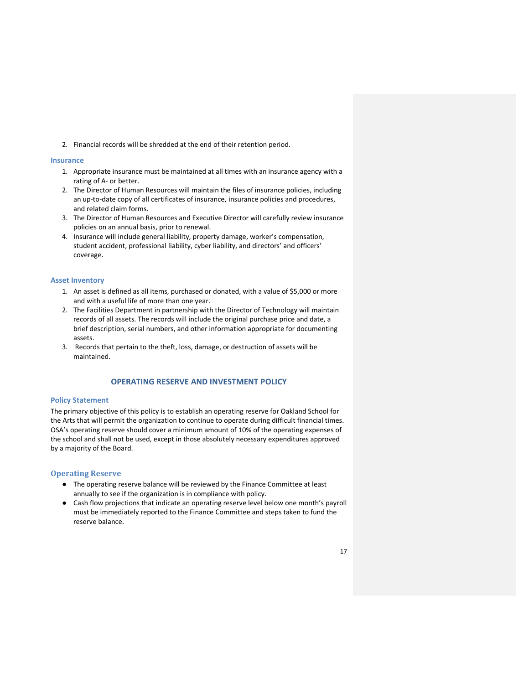2. Financial records will be shredded at the end of their retention period.

#### **Insurance**

- 1. Appropriate insurance must be maintained at all times with an insurance agency with a rating of A- or better.
- 2. The Director of Human Resources will maintain the files of insurance policies, including an up-to-date copy of all certificates of insurance, insurance policies and procedures, and related claim forms.
- 3. The Director of Human Resources and Executive Director will carefully review insurance policies on an annual basis, prior to renewal.
- 4. Insurance will include general liability, property damage, worker's compensation, student accident, professional liability, cyber liability, and directors' and officers' coverage.

## **Asset Inventory**

- 1. An asset is defined as all items, purchased or donated, with a value of \$5,000 or more and with a useful life of more than one year.
- 2. The Facilities Department in partnership with the Director of Technology will maintain records of all assets. The records will include the original purchase price and date, a brief description, serial numbers, and other information appropriate for documenting assets.
- 3. Records that pertain to the theft, loss, damage, or destruction of assets will be maintained.

# **OPERATING RESERVE AND INVESTMENT POLICY**

## **Policy Statement**

The primary objective of this policy is to establish an operating reserve for Oakland School for the Arts that will permit the organization to continue to operate during difficult financial times. OSA's operating reserve should cover a minimum amount of 10% of the operating expenses of the school and shall not be used, except in those absolutely necessary expenditures approved by a majority of the Board.

## **Operating Reserve**

- The operating reserve balance will be reviewed by the Finance Committee at least annually to see if the organization is in compliance with policy.
- Cash flow projections that indicate an operating reserve level below one month's payroll must be immediately reported to the Finance Committee and steps taken to fund the reserve balance.